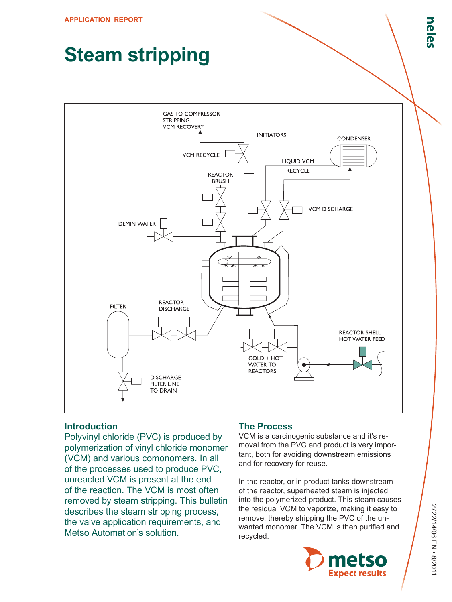# **Steam stripping**



## **Introduction**

Polyvinyl chloride (PVC) is produced by polymerization of vinyl chloride monomer (VCM) and various comonomers. In all of the processes used to produce PVC, unreacted VCM is present at the end of the reaction. The VCM is most often removed by steam stripping. This bulletin describes the steam stripping process, the valve application requirements, and Metso Automation's solution.

### **The Process**

VCM is a carcinogenic substance and it's removal from the PVC end product is very important, both for avoiding downstream emissions and for recovery for reuse.

In the reactor, or in product tanks downstream of the reactor, superheated steam is injected into the polymerized product. This steam causes the residual VCM to vaporize, making it easy to remove, thereby stripping the PVC of the unwanted monomer. The VCM is then purified and recycled.